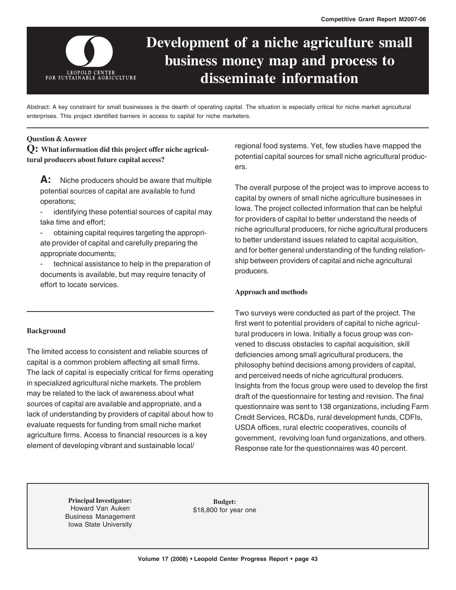

# **Development of a niche agriculture small business money map and process to disseminate information**

Abstract: A key constraint for small businesses is the dearth of operating capital. The situation is especially critical for niche market agricultural enterprises. This project identified barriers in access to capital for niche marketers.

## **Question & Answer**

**Q: What information did this project offer niche agricultural producers about future capital access?**

**A:** Niche producers should be aware that multiple potential sources of capital are available to fund operations;

identifying these potential sources of capital may take time and effort;

- obtaining capital requires targeting the appropriate provider of capital and carefully preparing the appropriate documents;

technical assistance to help in the preparation of documents is available, but may require tenacity of effort to locate services.

## **Background**

The limited access to consistent and reliable sources of capital is a common problem affecting all small firms. The lack of capital is especially critical for firms operating in specialized agricultural niche markets. The problem may be related to the lack of awareness about what sources of capital are available and appropriate, and a lack of understanding by providers of capital about how to evaluate requests for funding from small niche market agriculture firms. Access to financial resources is a key element of developing vibrant and sustainable local/

regional food systems. Yet, few studies have mapped the potential capital sources for small niche agricultural producers.

The overall purpose of the project was to improve access to capital by owners of small niche agriculture businesses in Iowa. The project collected information that can be helpful for providers of capital to better understand the needs of niche agricultural producers, for niche agricultural producers to better understand issues related to capital acquisition, and for better general understanding of the funding relationship between providers of capital and niche agricultural producers.

## **Approach and methods**

Two surveys were conducted as part of the project. The first went to potential providers of capital to niche agricultural producers in Iowa. Initially a focus group was convened to discuss obstacles to capital acquisition, skill deficiencies among small agricultural producers, the philosophy behind decisions among providers of capital, and perceived needs of niche agricultural producers. Insights from the focus group were used to develop the first draft of the questionnaire for testing and revision. The final questionnaire was sent to 138 organizations, including Farm Credit Services, RC&Ds, rural development funds, CDFIs, USDA offices, rural electric cooperatives, councils of government, revolving loan fund organizations, and others. Response rate for the questionnaires was 40 percent.

**Principal Investigator:** Howard Van Auken Business Management Iowa State University

**Budget:** \$18,800 for year one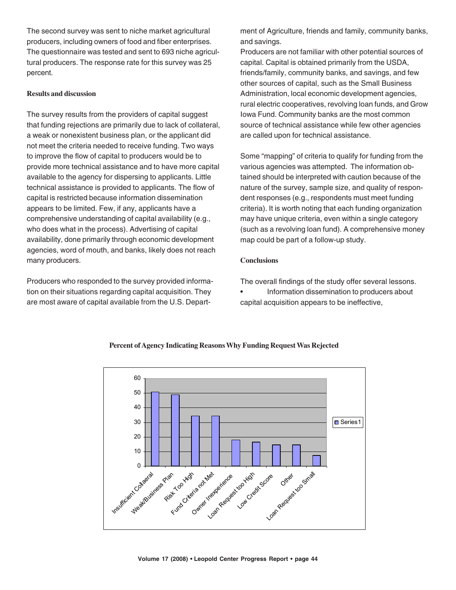The second survey was sent to niche market agricultural producers, including owners of food and fiber enterprises. The questionnaire was tested and sent to 693 niche agricultural producers. The response rate for this survey was 25 percent.

#### **Results and discussion**

The survey results from the providers of capital suggest that funding rejections are primarily due to lack of collateral, a weak or nonexistent business plan, or the applicant did not meet the criteria needed to receive funding. Two ways to improve the flow of capital to producers would be to provide more technical assistance and to have more capital available to the agency for dispersing to applicants. Little technical assistance is provided to applicants. The flow of capital is restricted because information dissemination appears to be limited. Few, if any, applicants have a comprehensive understanding of capital availability (e.g., who does what in the process). Advertising of capital availability, done primarily through economic development agencies, word of mouth, and banks, likely does not reach many producers.

Producers who responded to the survey provided information on their situations regarding capital acquisition. They are most aware of capital available from the U.S. Department of Agriculture, friends and family, community banks, and savings.

Producers are not familiar with other potential sources of capital. Capital is obtained primarily from the USDA, friends/family, community banks, and savings, and few other sources of capital, such as the Small Business Administration, local economic development agencies, rural electric cooperatives, revolving loan funds, and Grow Iowa Fund. Community banks are the most common source of technical assistance while few other agencies are called upon for technical assistance.

Some "mapping" of criteria to qualify for funding from the various agencies was attempted. The information obtained should be interpreted with caution because of the nature of the survey, sample size, and quality of respondent responses (e.g., respondents must meet funding criteria). It is worth noting that each funding organization may have unique criteria, even within a single category (such as a revolving loan fund). A comprehensive money map could be part of a follow-up study.

## **Conclusions**

The overall findings of the study offer several lessons.

• Information dissemination to producers about capital acquisition appears to be ineffective,



## **Percent of Agency Indicating Reasons Why Funding Request Was Rejected**